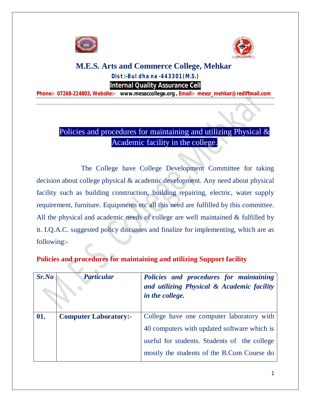



## **M.E.S. Arts and Commerce College, Mehkar Dist:-Buldhana-443301(M.S.) Internal Quality Assurance Cell**

**Phone:- 07268-224803, Website:- www.mesaccollege.org , Email:- messr\_mehkar@rediffmail.com**

## Policies and procedures for maintaining and utilizing Physical & Academic facility in the college.

 The College have College Development Committee for taking decision about college physical & academic development. Any need about physical facility such as building construction, building repairing, electric, water supply requirement, furniture. Equipments etc all this need are fulfilled by this committee. All the physical and academic needs of college are well maintained & fulfilled by it. I.Q.A.C. suggested policy discusses and finalize for implementing, which are as following:-

## **Policies and procedures for maintaining and utilizing Support facility**

| Sr.No | <b>Particular</b>            | Policies and procedures for maintaining<br>and utilizing Physical & Academic facility<br>in the college. |
|-------|------------------------------|----------------------------------------------------------------------------------------------------------|
| 01.   | <b>Computer Laboratory:-</b> | College have one computer laboratory with                                                                |
|       |                              | 40 computers with updated software which is                                                              |
|       |                              | useful for students. Students of the college                                                             |
|       |                              | mostly the students of the B.Com Course do                                                               |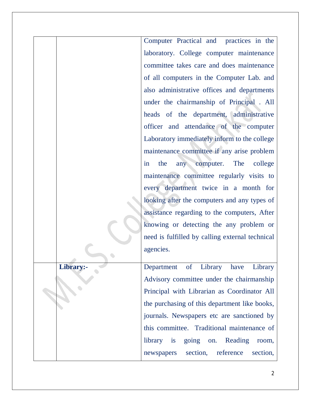Computer Practical and practices in the laboratory. College computer maintenance committee takes care and does maintenance of all computers in the Computer Lab. and also administrative offices and departments under the chairmanship of Principal . All heads of the department, administrative officer and attendance of the computer Laboratory immediately inform to the college maintenance committee if any arise problem in the any computer. The college maintenance committee regularly visits to every department twice in a month for looking after the computers and any types of assistance regarding to the computers, After knowing or detecting the any problem or need is fulfilled by calling external technical agencies. **Library:-** Department of Library have Library Advisory committee under the chairmanship Principal with Librarian as Coordinator All the purchasing of this department like books, journals. Newspapers etc are sanctioned by this committee. Traditional maintenance of library is going on. Reading room, newspapers section, reference section,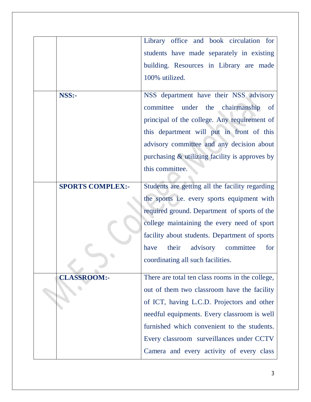|                         | Library office and book circulation for         |
|-------------------------|-------------------------------------------------|
|                         | students have made separately in existing       |
|                         | building. Resources in Library are made         |
|                         | 100% utilized.                                  |
|                         |                                                 |
| NSS:-                   | NSS department have their NSS advisory          |
|                         | committee under the chairmanship<br>of          |
|                         | principal of the college. Any requirement of    |
|                         | this department will put in front of this       |
|                         | advisory committee and any decision about       |
|                         | purchasing & utilizing facility is approves by  |
|                         | this committee.                                 |
|                         |                                                 |
| <b>SPORTS COMPLEX:-</b> | Students are getting all the facility regarding |
|                         | the sports i.e. every sports equipment with     |
|                         | required ground. Department of sports of the    |
|                         | college maintaining the every need of sport     |
|                         | facility about students. Department of sports   |
|                         | their<br>advisory committee<br>for<br>have      |
|                         | coordinating all such facilities.               |
| <b>CLASSROOM:-</b>      | There are total ten class rooms in the college, |
|                         | out of them two classroom have the facility     |
|                         | of ICT, having L.C.D. Projectors and other      |
|                         | needful equipments. Every classroom is well     |
|                         | furnished which convenient to the students.     |
|                         | Every classroom surveillances under CCTV        |
|                         | Camera and every activity of every class        |
|                         |                                                 |